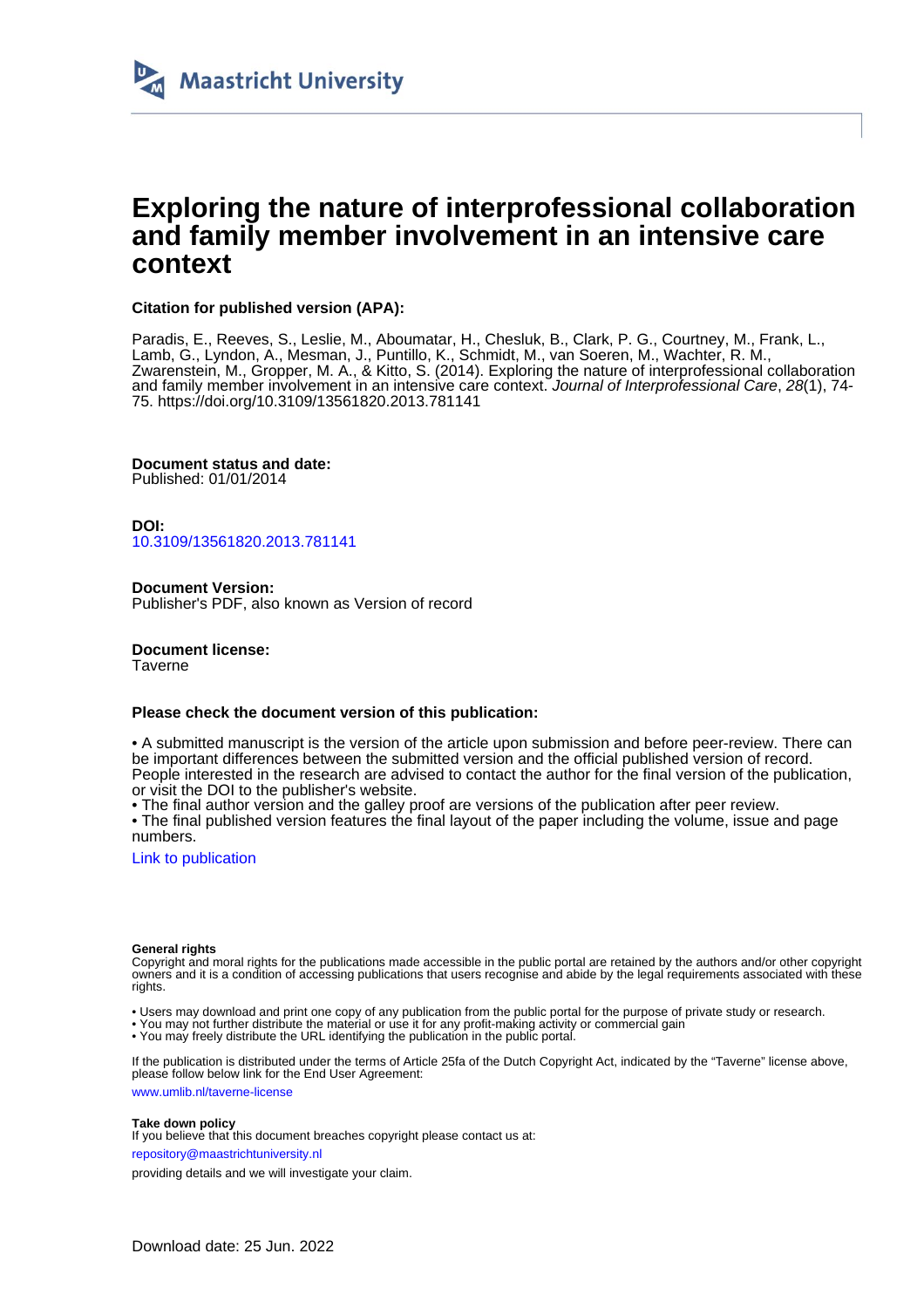

# **Exploring the nature of interprofessional collaboration and family member involvement in an intensive care context**

## **Citation for published version (APA):**

Paradis, E., Reeves, S., Leslie, M., Aboumatar, H., Chesluk, B., Clark, P. G., Courtney, M., Frank, L., Lamb, G., Lyndon, A., Mesman, J., Puntillo, K., Schmidt, M., van Soeren, M., Wachter, R. M., Zwarenstein, M., Gropper, M. A., & Kitto, S. (2014). Exploring the nature of interprofessional collaboration and family member involvement in an intensive care context. Journal of Interprofessional Care, 28(1), 74- 75. <https://doi.org/10.3109/13561820.2013.781141>

**Document status and date:** Published: 01/01/2014

**DOI:** [10.3109/13561820.2013.781141](https://doi.org/10.3109/13561820.2013.781141)

**Document Version:** Publisher's PDF, also known as Version of record

**Document license:** Taverne

## **Please check the document version of this publication:**

• A submitted manuscript is the version of the article upon submission and before peer-review. There can be important differences between the submitted version and the official published version of record. People interested in the research are advised to contact the author for the final version of the publication, or visit the DOI to the publisher's website.

• The final author version and the galley proof are versions of the publication after peer review.

• The final published version features the final layout of the paper including the volume, issue and page numbers.

[Link to publication](https://cris.maastrichtuniversity.nl/en/publications/d9c1c8e8-486e-469a-89e9-5a503e0bed49)

#### **General rights**

Copyright and moral rights for the publications made accessible in the public portal are retained by the authors and/or other copyright owners and it is a condition of accessing publications that users recognise and abide by the legal requirements associated with these rights.

• Users may download and print one copy of any publication from the public portal for the purpose of private study or research.

• You may not further distribute the material or use it for any profit-making activity or commercial gain

• You may freely distribute the URL identifying the publication in the public portal

If the publication is distributed under the terms of Article 25fa of the Dutch Copyright Act, indicated by the "Taverne" license above, please follow below link for the End User Agreement:

www.umlib.nl/taverne-license

#### **Take down policy**

If you believe that this document breaches copyright please contact us at:

repository@maastrichtuniversity.nl

providing details and we will investigate your claim.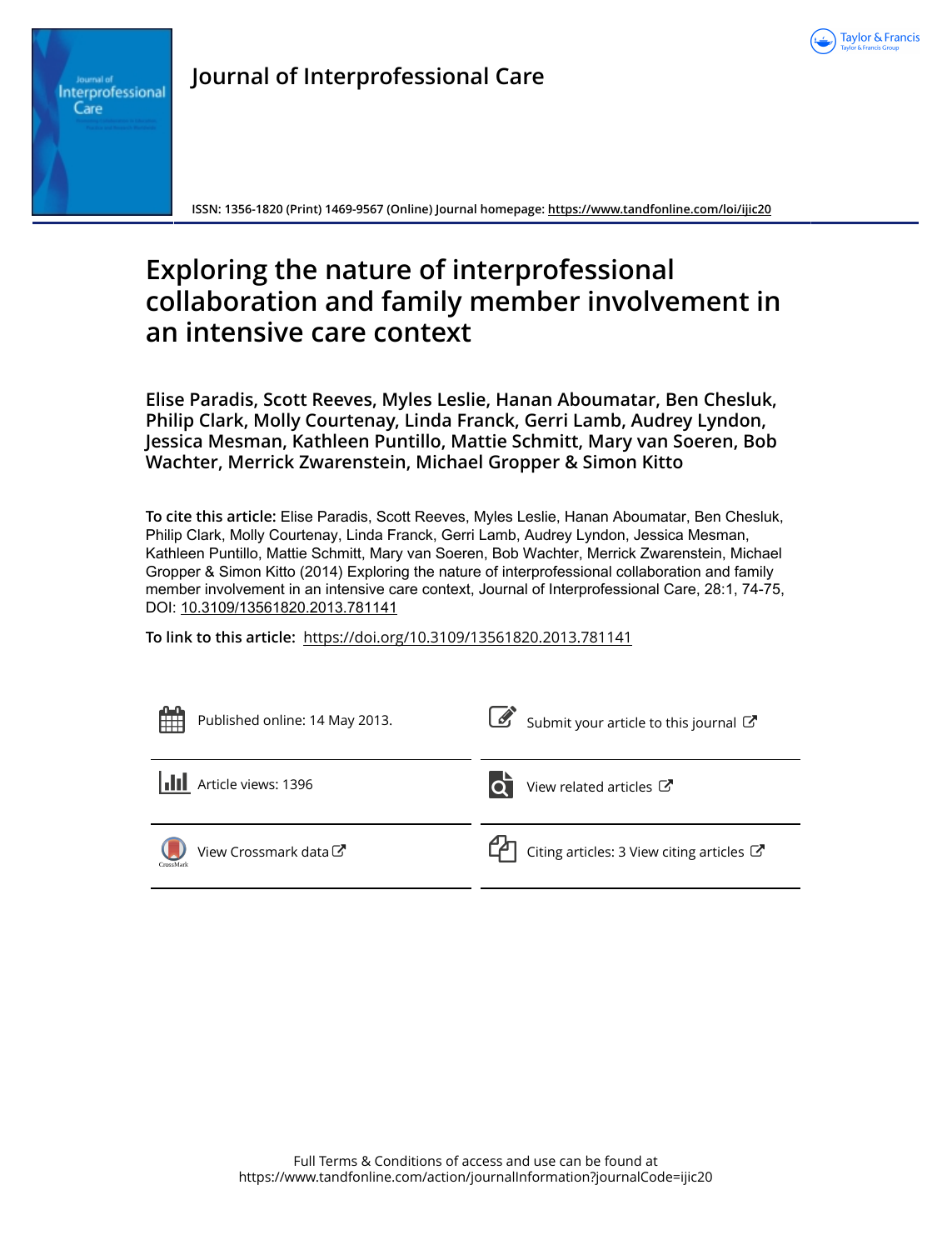

Interprofessional Care

**ISSN: 1356-1820 (Print) 1469-9567 (Online) Journal homepage:<https://www.tandfonline.com/loi/ijic20>**

# **Exploring the nature of interprofessional collaboration and family member involvement in an intensive care context**

**Elise Paradis, Scott Reeves, Myles Leslie, Hanan Aboumatar, Ben Chesluk, Philip Clark, Molly Courtenay, Linda Franck, Gerri Lamb, Audrey Lyndon, Jessica Mesman, Kathleen Puntillo, Mattie Schmitt, Mary van Soeren, Bob Wachter, Merrick Zwarenstein, Michael Gropper & Simon Kitto**

**To cite this article:** Elise Paradis, Scott Reeves, Myles Leslie, Hanan Aboumatar, Ben Chesluk, Philip Clark, Molly Courtenay, Linda Franck, Gerri Lamb, Audrey Lyndon, Jessica Mesman, Kathleen Puntillo, Mattie Schmitt, Mary van Soeren, Bob Wachter, Merrick Zwarenstein, Michael Gropper & Simon Kitto (2014) Exploring the nature of interprofessional collaboration and family member involvement in an intensive care context, Journal of Interprofessional Care, 28:1, 74-75, DOI: [10.3109/13561820.2013.781141](https://www.tandfonline.com/action/showCitFormats?doi=10.3109/13561820.2013.781141)

**To link to this article:** <https://doi.org/10.3109/13561820.2013.781141>

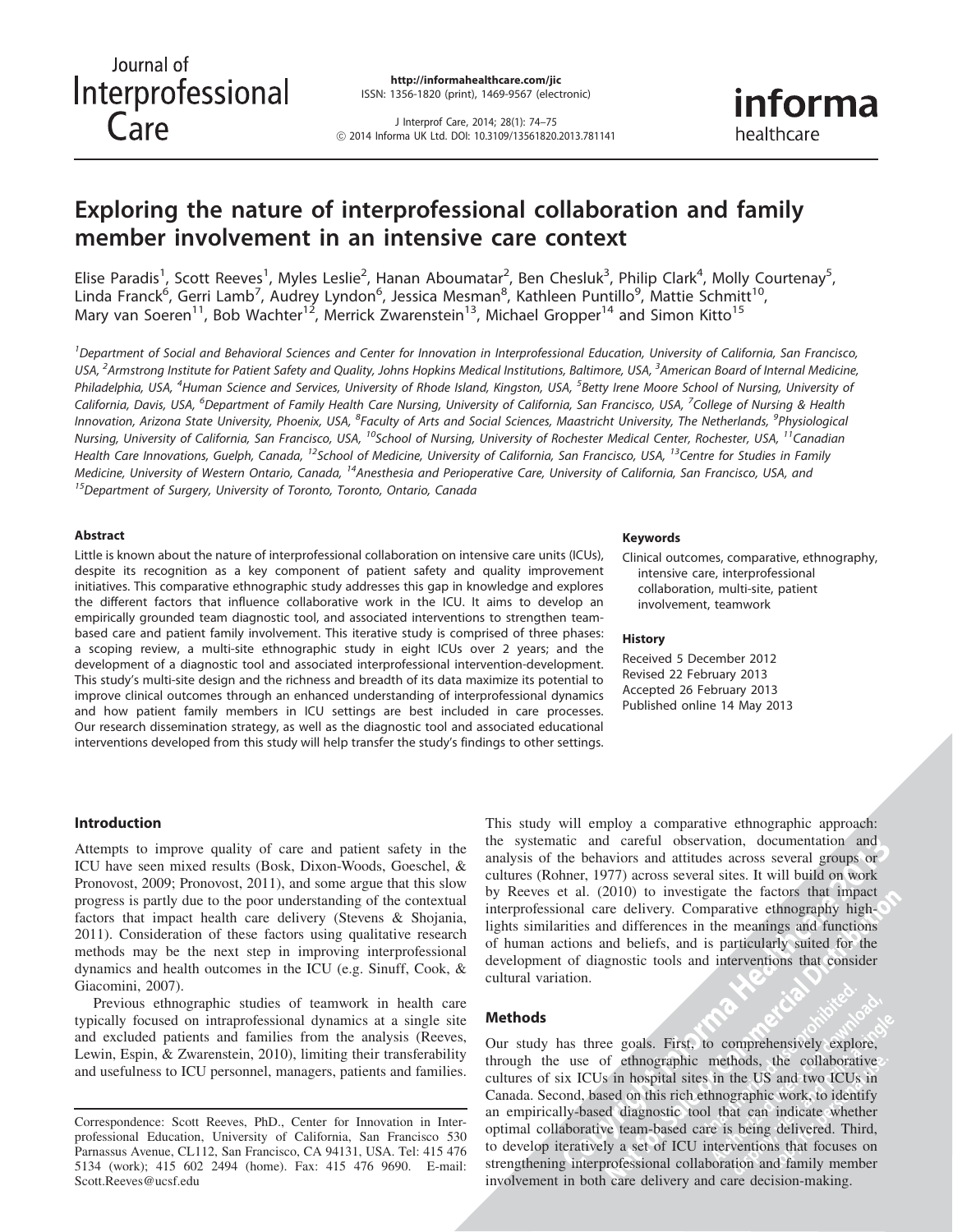J Interprof Care, 2014; 28(1): 74–75 ! 2014 Informa UK Ltd. DOI: 10.3109/13561820.2013.781141 informa healthcare

# Exploring the nature of interprofessional collaboration and family member involvement in an intensive care context

Elise Paradis<sup>1</sup>, Scott Reeves<sup>1</sup>, Myles Leslie<sup>2</sup>, Hanan Aboumatar<sup>2</sup>, Ben Chesluk<sup>3</sup>, Philip Clark<sup>4</sup>, Molly Courtenay<sup>5</sup>, Linda Franck<sup>6</sup>, Gerri Lamb<sup>7</sup>, Audrey Lyndon<sup>6</sup>, Jessica Mesman<sup>8</sup>, Kathleen Puntillo<sup>9</sup>, Mattie Schmitt<sup>10</sup>, Mary van Soeren<sup>11</sup>, Bob Wachter<sup>12</sup>, Merrick Zwarenstein<sup>13</sup>, Michael Gropper<sup>14</sup> and Simon Kitto<sup>15</sup>

<sup>1</sup> Department of Social and Behavioral Sciences and Center for Innovation in Interprofessional Education, University of California, San Francisco, USA, <sup>2</sup>Armstrong Institute for Patient Safety and Quality, Johns Hopkins Medical Institutions, Baltimore, USA, <sup>3</sup>American Board of Internal Medicine, Philadelphia, USA, <sup>4</sup>Human Science and Services, University of Rhode Island, Kingston, USA, <sup>5</sup>Betty Irene Moore School of Nursing, University of California, Davis, USA, <sup>6</sup>Department of Family Health Care Nursing, University of California, San Francisco, USA, <sup>7</sup>College of Nursing & Health Innovation, Arizona State University, Phoenix, USA, <sup>8</sup>Faculty of Arts and Social Sciences, Maastricht University, The Netherlands, <sup>9</sup>Physiological Nursing, University of California, San Francisco, USA, <sup>10</sup>School of Nursing, University of Rochester Medical Center, Rochester, USA, <sup>11</sup>Canadian Health Care Innovations, Guelph, Canada, <sup>12</sup>School of Medicine, University of California, San Francisco, USA, <sup>13</sup>Centre for Studies in Family Medicine, University of Western Ontario, Canada, <sup>14</sup>Anesthesia and Perioperative Care, University of California, San Francisco, USA, and <sup>15</sup>Department of Surgery, University of Toronto, Toronto, Ontario, Canada

#### Abstract

Little is known about the nature of interprofessional collaboration on intensive care units (ICUs), despite its recognition as a key component of patient safety and quality improvement initiatives. This comparative ethnographic study addresses this gap in knowledge and explores the different factors that influence collaborative work in the ICU. It aims to develop an empirically grounded team diagnostic tool, and associated interventions to strengthen teambased care and patient family involvement. This iterative study is comprised of three phases: a scoping review, a multi-site ethnographic study in eight ICUs over 2 years; and the development of a diagnostic tool and associated interprofessional intervention-development. This study's multi-site design and the richness and breadth of its data maximize its potential to improve clinical outcomes through an enhanced understanding of interprofessional dynamics and how patient family members in ICU settings are best included in care processes. Our research dissemination strategy, as well as the diagnostic tool and associated educational interventions developed from this study will help transfer the study's findings to other settings.

#### Keywords

Clinical outcomes, comparative, ethnography, intensive care, interprofessional collaboration, multi-site, patient involvement, teamwork

#### History

Received 5 December 2012 Revised 22 February 2013 Accepted 26 February 2013 Published online 14 May 2013

#### Introduction

Attempts to improve quality of care and patient safety in the ICU have seen mixed results (Bosk, Dixon-Woods, Goeschel, & Pronovost, 2009; Pronovost, 2011), and some argue that this slow progress is partly due to the poor understanding of the contextual factors that impact health care delivery (Stevens & Shojania, 2011). Consideration of these factors using qualitative research methods may be the next step in improving interprofessional dynamics and health outcomes in the ICU (e.g. Sinuff, Cook, & Giacomini, 2007).

Previous ethnographic studies of teamwork in health care typically focused on intraprofessional dynamics at a single site and excluded patients and families from the analysis (Reeves, Lewin, Espin, & Zwarenstein, 2010), limiting their transferability and usefulness to ICU personnel, managers, patients and families.

Correspondence: Scott Reeves, PhD., Center for Innovation in Interprofessional Education, University of California, San Francisco 530 Parnassus Avenue, CL112, San Francisco, CA 94131, USA. Tel: 415 476 5134 (work); 415 602 2494 (home). Fax: 415 476 9690. E-mail: Scott.Reeves@ucsf.edu

**2013**<br>**2013**<br>**2013**<br>**2013**<br>**2013**<br>**2013**<br>**2013**<br>**2013**<br>**2013** This study will employ a comparative ethnographic approach: the systematic and careful observation, documentation and analysis of the behaviors and attitudes across several groups or cultures (Rohner, 1977) across several sites. It will build on work by Reeves et al. (2010) to investigate the factors that impact interprofessional care delivery. Comparative ethnography highlights similarities and differences in the meanings and functions of human actions and beliefs, and is particularly suited for the development of diagnostic tools and interventions that consider cultural variation.

#### Methods

Our study has three goals. First, to comprehensively explore, through the use of ethnographic methods, the collaborative cultures of six ICUs in hospital sites in the US and two ICUs in Canada. Second, based on this rich ethnographic work, to identify an empirically-based diagnostic tool that can indicate whether optimal collaborative team-based care is being delivered. Third, to develop iteratively a set of ICU interventions that focuses on strengthening interprofessional collaboration and family member involvement in both care delivery and care decision-making.